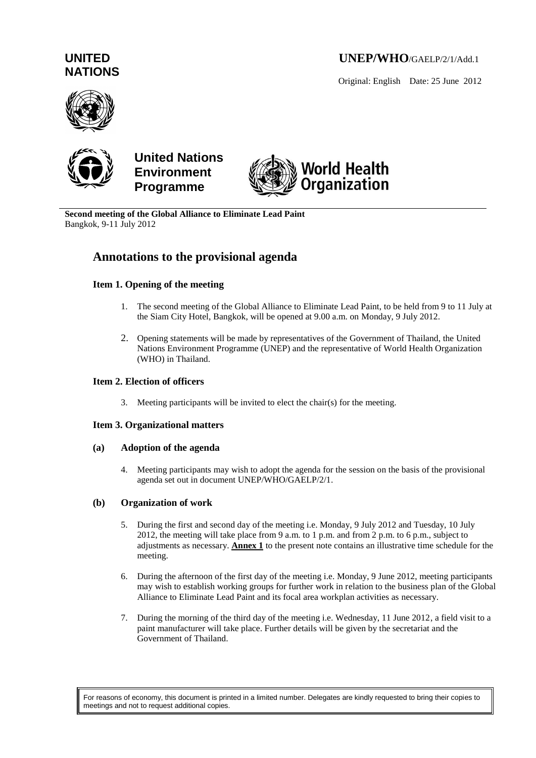# **UNEP/WHO**/GAELP/2/1/Add.1

Original: English Date: 25 June 2012

# **UNITED NATIONS**





**United Nations Environment Programme**



**Second meeting of the Global Alliance to Eliminate Lead Paint** Bangkok, 9-11 July 2012

# **Annotations to the provisional agenda**

# **Item 1. Opening of the meeting**

- 1. The second meeting of the Global Alliance to Eliminate Lead Paint, to be held from 9 to 11 July at the Siam City Hotel, Bangkok, will be opened at 9.00 a.m. on Monday, 9 July 2012.
- 2. Opening statements will be made by representatives of the Government of Thailand, the United Nations Environment Programme (UNEP) and the representative of World Health Organization (WHO) in Thailand.

## **Item 2. Election of officers**

3. Meeting participants will be invited to elect the chair(s) for the meeting.

# **Item 3. Organizational matters**

## **(a) Adoption of the agenda**

4. Meeting participants may wish to adopt the agenda for the session on the basis of the provisional agenda set out in document UNEP/WHO/GAELP/2/1.

# **(b) Organization of work**

- 5. During the first and second day of the meeting i.e. Monday, 9 July 2012 and Tuesday, 10 July 2012, the meeting will take place from 9 a.m. to 1 p.m. and from 2 p.m. to 6 p.m., subject to adjustments as necessary. **Annex 1** to the present note contains an illustrative time schedule for the meeting.
- 6. During the afternoon of the first day of the meeting i.e. Monday, 9 June 2012, meeting participants may wish to establish working groups for further work in relation to the business plan of the Global Alliance to Eliminate Lead Paint and its focal area workplan activities as necessary.
- 7. During the morning of the third day of the meeting i.e. Wednesday, 11 June 2012, a field visit to a paint manufacturer will take place. Further details will be given by the secretariat and the Government of Thailand.

For reasons of economy, this document is printed in a limited number. Delegates are kindly requested to bring their copies to meetings and not to request additional copies.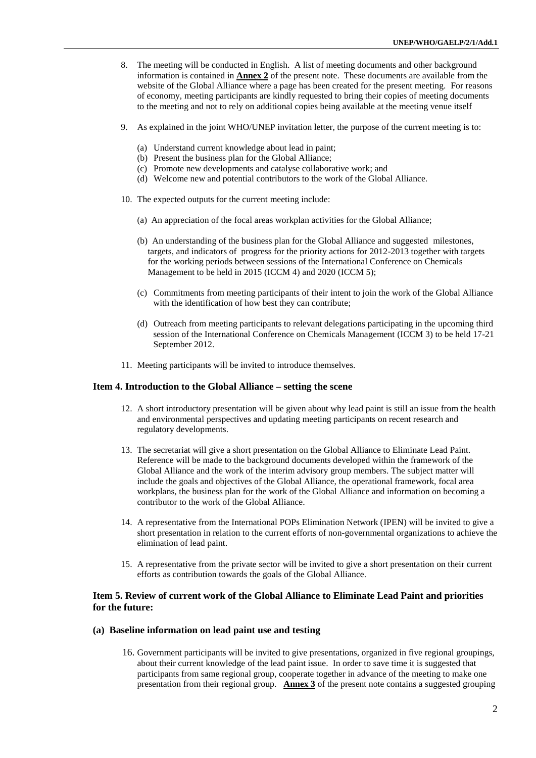- 8. The meeting will be conducted in English. A list of meeting documents and other background information is contained in **Annex 2** of the present note. These documents are available from the website of the Global Alliance where a page has been created for the present meeting. For reasons of economy, meeting participants are kindly requested to bring their copies of meeting documents to the meeting and not to rely on additional copies being available at the meeting venue itself
- 9. As explained in the joint WHO/UNEP invitation letter, the purpose of the current meeting is to:
	- (a) Understand current knowledge about lead in paint;
	- (b) Present the business plan for the Global Alliance;
	- (c) Promote new developments and catalyse collaborative work; and
	- (d) Welcome new and potential contributors to the work of the Global Alliance.
- 10. The expected outputs for the current meeting include:
	- (a) An appreciation of the focal areas workplan activities for the Global Alliance;
	- (b) An understanding of the business plan for the Global Alliance and suggested milestones, targets, and indicators of progress for the priority actions for 2012-2013 together with targets for the working periods between sessions of the International Conference on Chemicals Management to be held in 2015 (ICCM 4) and 2020 (ICCM 5);
	- (c) Commitments from meeting participants of their intent to join the work of the Global Alliance with the identification of how best they can contribute;
	- (d) Outreach from meeting participants to relevant delegations participating in the upcoming third session of the International Conference on Chemicals Management (ICCM 3) to be held 17-21 September 2012.
- 11. Meeting participants will be invited to introduce themselves.

#### **Item 4. Introduction to the Global Alliance – setting the scene**

- 12. A short introductory presentation will be given about why lead paint is still an issue from the health and environmental perspectives and updating meeting participants on recent research and regulatory developments.
- 13. The secretariat will give a short presentation on the Global Alliance to Eliminate Lead Paint. Reference will be made to the background documents developed within the framework of the Global Alliance and the work of the interim advisory group members. The subject matter will include the goals and objectives of the Global Alliance, the operational framework, focal area workplans, the business plan for the work of the Global Alliance and information on becoming a contributor to the work of the Global Alliance.
- 14. A representative from the International POPs Elimination Network (IPEN) will be invited to give a short presentation in relation to the current efforts of non-governmental organizations to achieve the elimination of lead paint.
- 15. A representative from the private sector will be invited to give a short presentation on their current efforts as contribution towards the goals of the Global Alliance.

### **Item 5. Review of current work of the Global Alliance to Eliminate Lead Paint and priorities for the future:**

#### **(a) Baseline information on lead paint use and testing**

16. Government participants will be invited to give presentations, organized in five regional groupings, about their current knowledge of the lead paint issue. In order to save time it is suggested that participants from same regional group, cooperate together in advance of the meeting to make one presentation from their regional group. **Annex 3** of the present note contains a suggested grouping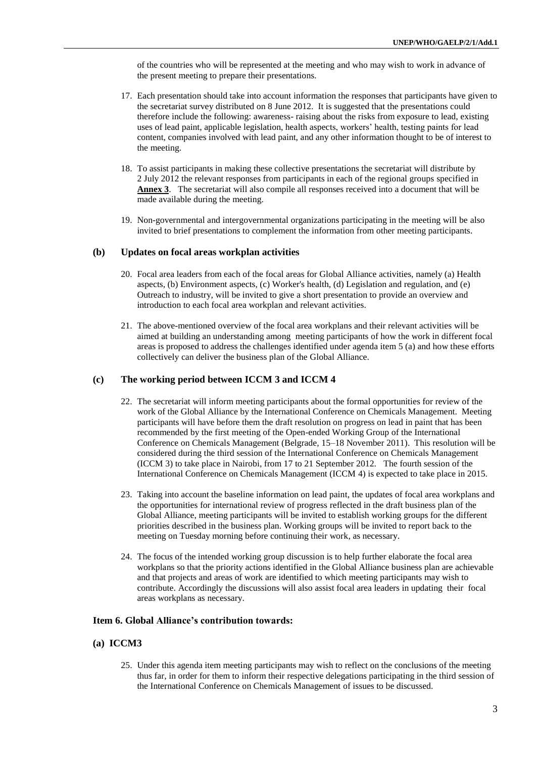of the countries who will be represented at the meeting and who may wish to work in advance of the present meeting to prepare their presentations.

- 17. Each presentation should take into account information the responses that participants have given to the secretariat survey distributed on 8 June 2012. It is suggested that the presentations could therefore include the following: awareness- raising about the risks from exposure to lead, existing uses of lead paint, applicable legislation, health aspects, workers' health, testing paints for lead content, companies involved with lead paint, and any other information thought to be of interest to the meeting.
- 18. To assist participants in making these collective presentations the secretariat will distribute by 2 July 2012 the relevant responses from participants in each of the regional groups specified in **Annex 3**. The secretariat will also compile all responses received into a document that will be made available during the meeting.
- 19. Non-governmental and intergovernmental organizations participating in the meeting will be also invited to brief presentations to complement the information from other meeting participants.

#### **(b) Updates on focal areas workplan activities**

- 20. Focal area leaders from each of the focal areas for Global Alliance activities, namely (a) Health aspects, (b) Environment aspects, (c) Worker's health, (d) Legislation and regulation, and (e) Outreach to industry, will be invited to give a short presentation to provide an overview and introduction to each focal area workplan and relevant activities.
- 21. The above-mentioned overview of the focal area workplans and their relevant activities will be aimed at building an understanding among meeting participants of how the work in different focal areas is proposed to address the challenges identified under agenda item 5 (a) and how these efforts collectively can deliver the business plan of the Global Alliance.

#### **(c) The working period between ICCM 3 and ICCM 4**

- 22. The secretariat will inform meeting participants about the formal opportunities for review of the work of the Global Alliance by the International Conference on Chemicals Management. Meeting participants will have before them the draft resolution on progress on lead in paint that has been recommended by the first meeting of the Open-ended Working Group of the International Conference on Chemicals Management (Belgrade, 15–18 November 2011). This resolution will be considered during the third session of the International Conference on Chemicals Management (ICCM 3) to take place in Nairobi, from 17 to 21 September 2012. The fourth session of the International Conference on Chemicals Management (ICCM 4) is expected to take place in 2015.
- 23. Taking into account the baseline information on lead paint, the updates of focal area workplans and the opportunities for international review of progress reflected in the draft business plan of the Global Alliance, meeting participants will be invited to establish working groups for the different priorities described in the business plan. Working groups will be invited to report back to the meeting on Tuesday morning before continuing their work, as necessary.
- 24. The focus of the intended working group discussion is to help further elaborate the focal area workplans so that the priority actions identified in the Global Alliance business plan are achievable and that projects and areas of work are identified to which meeting participants may wish to contribute. Accordingly the discussions will also assist focal area leaders in updating their focal areas workplans as necessary.

#### **Item 6. Global Alliance's contribution towards:**

- **(a) ICCM3**
	- 25. Under this agenda item meeting participants may wish to reflect on the conclusions of the meeting thus far, in order for them to inform their respective delegations participating in the third session of the International Conference on Chemicals Management of issues to be discussed.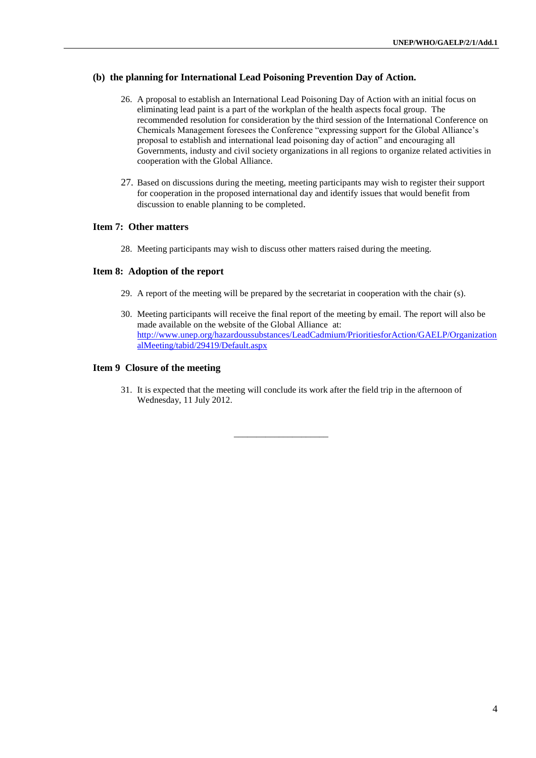## **(b) the planning for International Lead Poisoning Prevention Day of Action.**

- 26. A proposal to establish an International Lead Poisoning Day of Action with an initial focus on eliminating lead paint is a part of the workplan of the health aspects focal group. The recommended resolution for consideration by the third session of the International Conference on Chemicals Management foresees the Conference "expressing support for the Global Alliance's proposal to establish and international lead poisoning day of action" and encouraging all Governments, industy and civil society organizations in all regions to organize related activities in cooperation with the Global Alliance.
- 27. Based on discussions during the meeting, meeting participants may wish to register their support for cooperation in the proposed international day and identify issues that would benefit from discussion to enable planning to be completed.

#### **Item 7: Other matters**

28. Meeting participants may wish to discuss other matters raised during the meeting.

### **Item 8: Adoption of the report**

- 29. A report of the meeting will be prepared by the secretariat in cooperation with the chair (s).
- 30. Meeting participants will receive the final report of the meeting by email. The report will also be made available on the website of the Global Alliance at: [http://www.unep.org/hazardoussubstances/LeadCadmium/PrioritiesforAction/GAELP/Organization](http://www.unep.org/hazardoussubstances/LeadCadmium/PrioritiesforAction/GAELP/OrganizationalMeeting/tabid/29419/Default.aspx) [alMeeting/tabid/29419/Default.aspx](http://www.unep.org/hazardoussubstances/LeadCadmium/PrioritiesforAction/GAELP/OrganizationalMeeting/tabid/29419/Default.aspx)

#### **Item 9 Closure of the meeting**

31. It is expected that the meeting will conclude its work after the field trip in the afternoon of Wednesday, 11 July 2012.

\_\_\_\_\_\_\_\_\_\_\_\_\_\_\_\_\_\_\_\_\_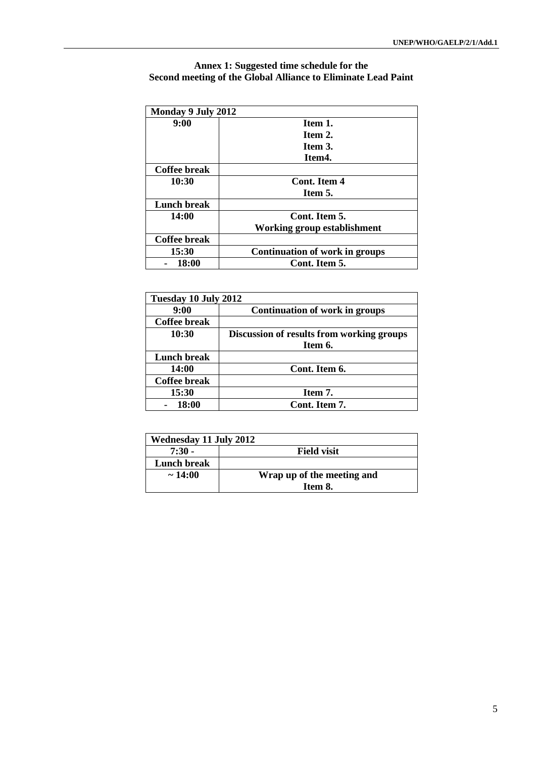# **Annex 1: Suggested time schedule for the Second meeting of the Global Alliance to Eliminate Lead Paint**

| Monday 9 July 2012  |                                       |
|---------------------|---------------------------------------|
| 9:00                | Item 1.                               |
|                     | Item 2.                               |
|                     | Item 3.                               |
|                     | Item4.                                |
| <b>Coffee break</b> |                                       |
| 10:30               | Cont. Item 4                          |
|                     | Item 5.                               |
| Lunch break         |                                       |
| 14:00               | Cont. Item 5.                         |
|                     | <b>Working group establishment</b>    |
| Coffee break        |                                       |
| 15:30               | <b>Continuation of work in groups</b> |
| 18:00               | Cont. Item 5.                         |

| Tuesday 10 July 2012 |                                           |
|----------------------|-------------------------------------------|
| 9:00                 | <b>Continuation of work in groups</b>     |
| <b>Coffee break</b>  |                                           |
| 10:30                | Discussion of results from working groups |
|                      | Item 6.                                   |
| Lunch break          |                                           |
| 14:00                | Cont. Item 6.                             |
| <b>Coffee break</b>  |                                           |
| 15:30                | Item 7.                                   |
| 18:00                | Cont. Item 7.                             |

| Wednesday 11 July 2012 |                            |
|------------------------|----------------------------|
| $7:30 -$               | <b>Field visit</b>         |
| Lunch break            |                            |
| $\sim$ 14:00           | Wrap up of the meeting and |
|                        | Item 8.                    |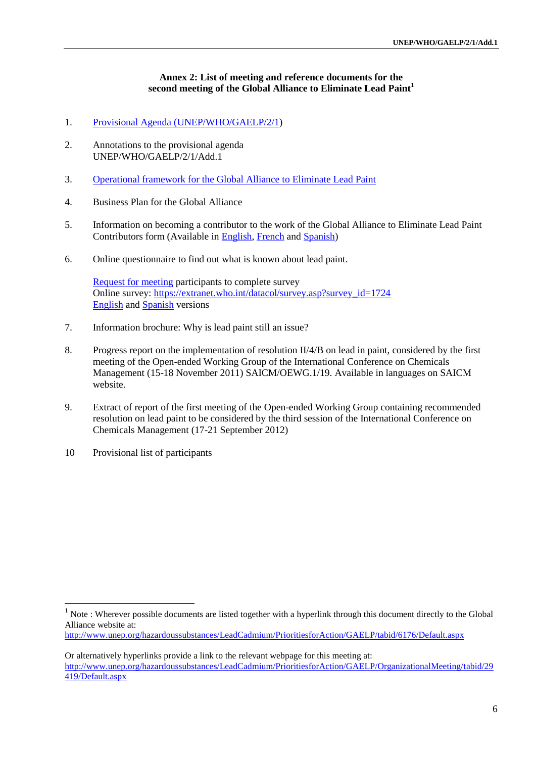## **Annex 2: List of meeting and reference documents for the second meeting of the Global Alliance to Eliminate Lead Paint<sup>1</sup>**

- 1. Provisional Agenda [\(UNEP/WHO/GAELP/2/1\)](http://www.unep.org/hazardoussubstances/Portals/9/Lead_Cadmium/docs/GAELP/SecondMeeting/Final_Provisional_Agenda_UNEP_WHO_GAELP2.pdf)
- 2. Annotations to the provisional agenda UNEP/WHO/GAELP/2/1/Add.1
- 3. [Operational framework for the Global Alliance](http://www.unep.org/hazardoussubstances/Portals/9/Lead_Cadmium/docs/GAELP/Final_operational_framework_GAELP.pdf) to Eliminate Lead Paint
- 4. Business Plan for the Global Alliance
- 5. Information on becoming a contributor to the work of the Global Alliance to Eliminate Lead Paint Contributors form (Available in [English,](http://www.unep.org/hazardoussubstances/Portals/9/Lead_Cadmium/docs/GAELP/GAELP_Becoming_a_contributor.pdf) [French](http://www.unep.org/hazardoussubstances/Portals/9/Lead_Cadmium/docs/GAELP/Devenir%20contributeur_GAELP_Fr.pdf) and [Spanish\)](http://www.unep.org/hazardoussubstances/Portals/9/Lead_Cadmium/docs/GAELP/Formar_parte_contributora_GAELP_Sp.pdf)
- 6. Online questionnaire to find out what is known about lead paint.

[Request for meeting](http://www.unep.org/hazardoussubstances/Portals/9/Lead_Cadmium/docs/GAELP/SecondMeeting/Information%20Survey--.pdf) participants to complete survey Online survey: [https://extranet.who.int/datacol/survey.asp?survey\\_id=1724](https://extranet.who.int/datacol/survey.asp?survey_id=1724) [English](http://www.unep.org/hazardoussubstances/portals/9/Lead_Cadmium/images/pdf.gif) and [Spanish](http://www.unep.org/hazardoussubstances/Portals/9/Lead_Cadmium/docs/GAELP/SecondMeeting/Survey_Lead%20Paint_Español.pdf) versions

- 7. Information brochure: Why is lead paint still an issue?
- 8. Progress report on the implementation of resolution II/4/B on lead in paint, considered by the first meeting of the Open-ended Working Group of the International Conference on Chemicals Management (15-18 November 2011) SAICM/OEWG.1/19. Available in languages on SAICM website.
- 9. Extract of report of the first meeting of the Open-ended Working Group containing recommended resolution on lead paint to be considered by the third session of the International Conference on Chemicals Management (17-21 September 2012)
- 10 Provisional list of participants

<u>.</u>

Note : Wherever possible documents are listed together with a hyperlink through this document directly to the Global Alliance website at:

<http://www.unep.org/hazardoussubstances/LeadCadmium/PrioritiesforAction/GAELP/tabid/6176/Default.aspx>

Or alternatively hyperlinks provide a link to the relevant webpage for this meeting at: [http://www.unep.org/hazardoussubstances/LeadCadmium/PrioritiesforAction/GAELP/OrganizationalMeeting/tabid/29](http://www.unep.org/hazardoussubstances/LeadCadmium/PrioritiesforAction/GAELP/OrganizationalMeeting/tabid/29419/Default.aspx) [419/Default.aspx](http://www.unep.org/hazardoussubstances/LeadCadmium/PrioritiesforAction/GAELP/OrganizationalMeeting/tabid/29419/Default.aspx)